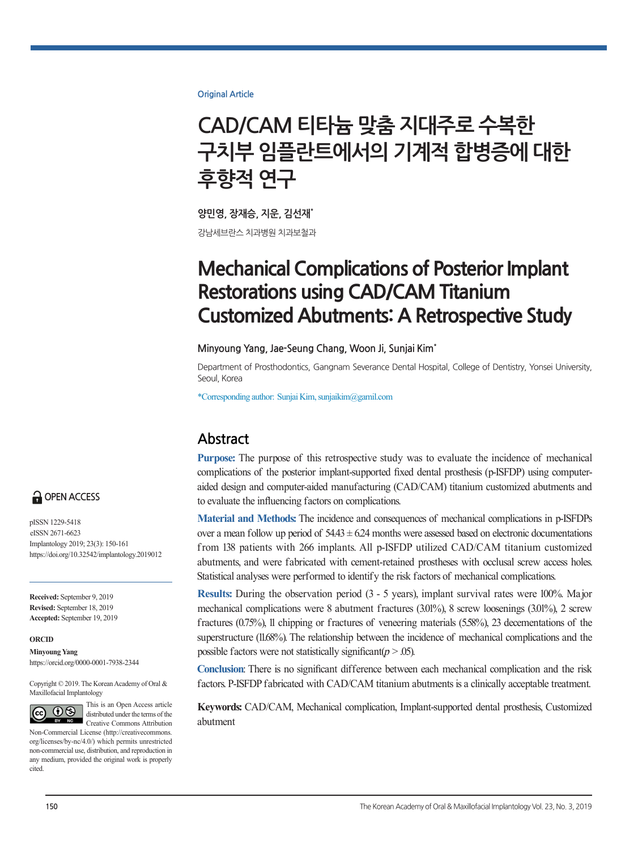**Original Article**

# **CAD/CAM 티타늄 맞춤 지대주로 수복한 구치부 임플란트에서의 기계적 합병증에 대한 후향적 연구**

**양민영, 장재승, 지운, 김선재\*** 강남세브란스 치과병원 치과보철과

# **Mechanical Complications of Posterior Implant Restorations using CAD/CAM Titanium Customized Abutments: A Retrospective Study**

#### **Minyoung Yang, Jae-Seung Chang, Woon Ji, Sunjai Kim\***

Department of Prosthodontics, Gangnam Severance Dental Hospital, College of Dentistry, Yonsei University, Seoul, Korea

\*Corresponding author: Sunjai Kim, sunjaikim@gamil.com

# **Abstract**

**Purpose:** The purpose of this retrospective study was to evaluate the incidence of mechanical complications of the posterior implant-supported fixed dental prosthesis (p-ISFDP) using computeraided design and computer-aided manufacturing (CAD/CAM) titanium customized abutments and to evaluate the influencing factors on complications.

**Material and Methods:** The incidence and consequences of mechanical complications in p-ISFDPs over a mean follow up period of  $54.43 \pm 6.24$  months were assessed based on electronic documentations f rom 138 patients with 266 implants. All p-ISFDP utilized CAD/CAM titanium customized abutments, and were fabricated with cement-retained prostheses with occlusal screw access holes. Statistical analyses were performed to identify the risk factors of mechanical complications.

**Results:** During the observation period (3 - 5 years), implant survival rates were 100%. Major mechanical complications were 8 abutment fractures (3.01%), 8 screw loosenings (3.01%), 2 screw fractures (0.75%), 11 chipping or fractures of veneering materials (5.58%), 23 decementations of the superstructure (11.68%). The relationship between the incidence of mechanical complications and the possible factors were not statistically significant  $(p > .05)$ .

**Conclusion**: There is no significant difference between each mechanical complication and the risk factors. P-ISFDP fabricated with CAD/CAM titanium abutments is a clinically acceptable treatment.

**Keywords:** CAD/CAM, Mechanical complication, Implant-supported dental prosthesis, Customized abutment



pISSN 1229-5418 eISSN 2671-6623 Implantology 2019; 23(3): 150-161 https://doi.org/10.32542/implantology.2019012

**Received:** September 9, 2019 **Revised:** September 18, 2019 **Accepted:** September 19, 2019

#### **ORCID**

**Minyoung Yang** https://orcid.org/0000-0001-7938-2344

Copyright © 2019. The Korean Academy of Oral & Maxillofacial Implantology



This is an Open Access article distributed under the terms of the Creative Commons Attribution

Non-Commercial License (http://creativecommons. org/licenses/by-nc/4.0/) which permits unrestricted non-commercial use, distribution, and reproduction in any medium, provided the original work is properly cited.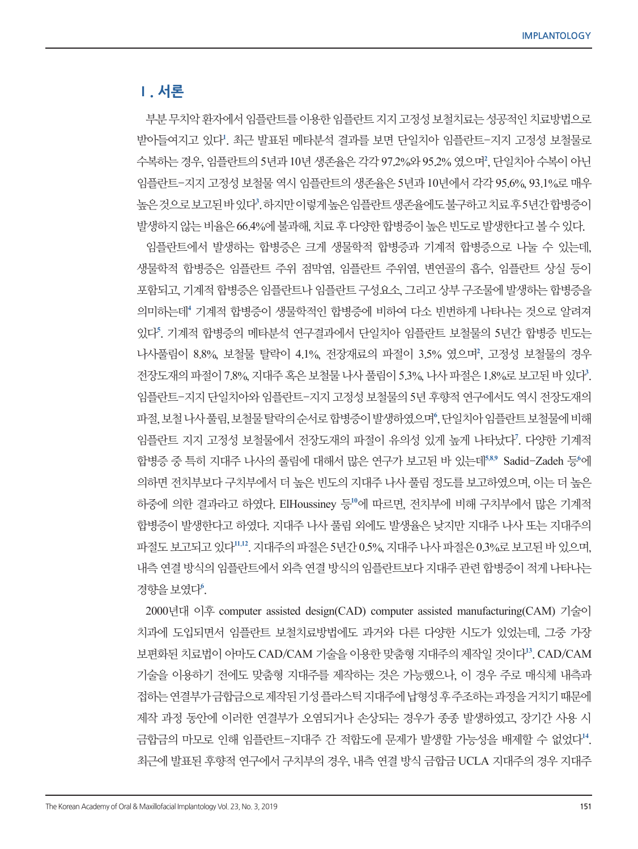## **Ⅰ. 서론**

부분 무치악 환자에서 임플란트를 이용한 임플란트 지지 고정성 보철치료는 성공적인 치료방법으로 받아들여지고 있다**<sup>1</sup>** . 최근 발표된 메타분석 결과를 보면 단일치아 임플란트-지지 고정성 보철물로 수복하는 경우, 임플란트의 5년과 10년 생존율은 각각 97.2%와 95.2% 였으며**<sup>2</sup>** , 단일치아 수복이 아닌 임플란트-지지 고정성 보철물 역시 임플란트의 생존율은 5년과 10년에서 각각 95.6%, 93.1%로 매우 높은 것으로 보고된 바 있다**<sup>3</sup>** . 하지만 이렇게 높은 임플란트 생존율에도 불구하고 치료 후 5년간 합병증이 발생하지 않는 비율은 66.4%에 불과해, 치료 후 다양한 합병증이 높은 빈도로 발생한다고 볼 수 있다.

임플란트에서 발생하는 합병증은 크게 생물학적 합병증과 기계적 합병증으로 나눌 수 있는데, 생물학적 합병증은 임플란트 주위 점막염, 임플란트 주위염, 변연골의 흡수, 임플란트 상실 등이 포함되고, 기계적 합병증은 임플란트나 임플란트 구성요소, 그리고 상부 구조물에 발생하는 합병증을 의미하는데**<sup>4</sup>** 기계적 합병증이 생물학적인 합병증에 비하여 다소 빈번하게 나타나는 것으로 알려져 있다**<sup>5</sup>** . 기계적 합병증의 메타분석 연구결과에서 단일치아 임플란트 보철물의 5년간 합병증 빈도는 나사풀림이 8.8%, 보철물 탈락이 4.1%, 전장재료의 파절이 3.5% 였으며**<sup>2</sup>** , 고정성 보철물의 경우 전장도재의 파절이 7.8%, 지대주 혹은 보철물 나사 풀림이 5.3%, 나사 파절은 1.8%로 보고된 바 있다**<sup>3</sup>** . 임플란트-지지 단일치아와 임플란트-지지 고정성 보철물의 5년 후향적 연구에서도 역시 전장도재의 파절, 보철 나사 풀림, 보철물 탈락의 순서로 합병증이 발생하였으며<sup>6</sup>, 단일치아 임플란트 보철물에 비해 임플란트 지지 고정성 보철물에서 전장도재의 파절이 유의성 있게 높게 나타났다**<sup>7</sup>** . 다양한 기계적 합병증 중 특히 지대주 나사의 풀림에 대해서 많은 연구가 보고된 바 있는데**<sup>5</sup>,8,<sup>9</sup>** Sadid-Zadeh 등**<sup>6</sup>** 에 의하면 전치부보다 구치부에서 더 높은 빈도의 지대주 나사 풀림 정도를 보고하였으며, 이는 더 높은 하중에 의한 결과라고 하였다. ElHoussiney 등**<sup>10</sup>**에 따르면, 전치부에 비해 구치부에서 많은 기계적 합병증이 발생한다고 하였다. 지대주 나사 풀림 외에도 발생율은 낮지만 지대주 나사 또는 지대주의 파절도 보고되고 있다**<sup>11</sup>,<sup>12</sup>**. 지대주의 파절은 5년간 0.5%, 지대주 나사 파절은 0.3%로 보고된 바 있으며, 내측 연결 방식의 임플란트에서 외측 연결 방식의 임플란트보다 지대주 관련 합병증이 적게 나타나는 경향을 보였다**<sup>6</sup>** .

2000년대 이후 computer assisted design(CAD) computer assisted manufacturing(CAM) 기술이 치과에 도입되면서 임플란트 보철치료방법에도 과거와 다른 다양한 시도가 있었는데, 그중 가장 보편화된 치료법이 아마도 CAD/CAM 기술을 이용한 맞춤형 지대주의 제작일 것이다**<sup>13</sup>**. CAD/CAM 기술을 이용하기 전에도 맞춤형 지대주를 제작하는 것은 가능했으나, 이 경우 주로 매식체 내측과 접하는 연결부가 금합금으로 제작된 기성 플라스틱 지대주에 납형성 후 주조하는 과정을 거치기 때문에 제작 과정 동안에 이러한 연결부가 오염되거나 손상되는 경우가 종종 발생하였고, 장기간 사용 시 금합금의 마모로 인해 임플란트-지대주 간 적합도에 문제가 발생할 가능성을 배제할 수 없었다**<sup>14</sup>**. 최근에 발표된 후향적 연구에서 구치부의 경우, 내측 연결 방식 금합금 UCLA 지대주의 경우 지대주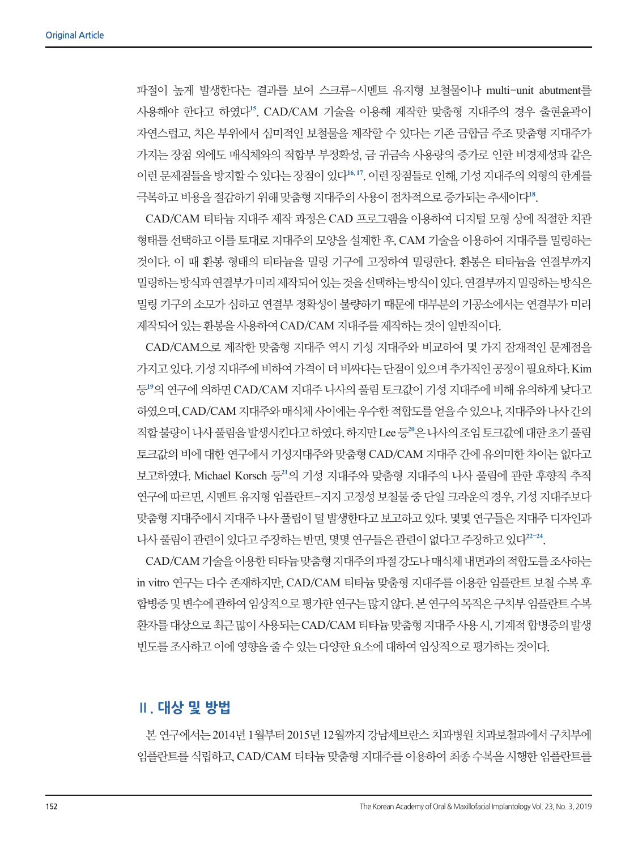파절이 높게 발생한다는 결과를 보여 스크류-시멘트 유지형 보철물이나 multi-unit abutment를 사용해야 한다고 하였다**<sup>15</sup>**. CAD/CAM 기술을 이용해 제작한 맞춤형 지대주의 경우 출현윤곽이 자연스럽고, 치은 부위에서 심미적인 보철물을 제작할 수 있다는 기존 금합금 주조 맞춤형 지대주가 가지는 장점 외에도 매식체와의 적합부 부정확성, 금 귀금속 사용량의 증가로 인한 비경제성과 같은 이런 문제점들을 방지할 수 있다는 장점이 있다**<sup>16</sup>, <sup>17</sup>**. 이런 장점들로 인해, 기성 지대주의 외형의 한계를 극복하고 비용을 절감하기 위해 맞춤형 지대주의 사용이 점차적으로 증가되는 추세이다**<sup>18</sup>**.

CAD/CAM 티타늄 지대주 제작 과정은 CAD 프로그램을 이용하여 디지털 모형 상에 적절한 치관 형태를 선택하고 이를 토대로 지대주의 모양을 설계한 후, CAM 기술을 이용하여 지대주를 밀링하는 것이다. 이 때 환봉 형태의 티타늄을 밀링 기구에 고정하여 밀링한다. 환봉은 티타늄을 연결부까지 밀링하는 방식과 연결부가 미리 제작되어 있는 것을 선택하는 방식이 있다. 연결부까지 밀링하는 방식은 밀링 기구의 소모가 심하고 연결부 정확성이 불량하기 때문에 대부분의 기공소에서는 연결부가 미리 제작되어 있는 환봉을 사용하여 CAD/CAM 지대주를 제작하는 것이 일반적이다.

CAD/CAM으로 제작한 맞춤형 지대주 역시 기성 지대주와 비교하여 몇 가지 잠재적인 문제점을 가지고 있다. 기성 지대주에 비하여 가격이 더 비싸다는 단점이 있으며 추가적인 공정이 필요하다. Kim 등**<sup>19</sup>**의 연구에 의하면 CAD/CAM 지대주 나사의 풀림 토크값이 기성 지대주에 비해 유의하게 낮다고 하였으며, CAD/CAM 지대주와 매식체 사이에는 우수한 적합도를 얻을 수 있으나, 지대주와 나사 간의 적합 불량이 나사 풀림을 발생시킨다고 하였다. 하지만 Lee 등**<sup>20</sup>**은 나사의 조임 토크값에 대한 초기 풀림 토크값의 비에 대한 연구에서 기성지대주와 맞춤형 CAD/CAM 지대주 간에 유의미한 차이는 없다고 보고하였다. Michael Korsch 등**<sup>21</sup>**의 기성 지대주와 맞춤형 지대주의 나사 풀림에 관한 후향적 추적 연구에 따르면, 시멘트 유지형 임플란트-지지 고정성 보철물 중 단일 크라운의 경우, 기성 지대주보다 맞춤형 지대주에서 지대주 나사 풀림이 덜 발생한다고 보고하고 있다. 몇몇 연구들은 지대주 디자인과 나사 풀림이 관련이 있다고 주장하는 반면, 몇몇 연구들은 관련이 없다고 주장하고 있다**<sup>22</sup>-<sup>24</sup>**.

CAD/CAM 기술을 이용한 티타늄 맞춤형 지대주의 파절 강도나 매식체 내면과의 적합도를 조사하는 in vitro 연구는 다수 존재하지만, CAD/CAM 티타늄 맞춤형 지대주를 이용한 임플란트 보철 수복 후 합병증 및 변수에 관하여 임상적으로 평가한 연구는 많지 않다. 본 연구의 목적은 구치부 임플란트 수복 환자를 대상으로 최근 많이 사용되는 CAD/CAM 티타늄 맞춤형 지대주 사용 시, 기계적 합병증의 발생 빈도를 조사하고 이에 영향을 줄 수 있는 다양한 요소에 대하여 임상적으로 평가하는 것이다.

## **Ⅱ. 대상 및 방법**

본 연구에서는 2014년 1월부터 2015년 12월까지 강남세브란스 치과병원 치과보철과에서 구치부에 임플란트를 식립하고, CAD/CAM 티타늄 맞춤형 지대주를 이용하여 최종 수복을 시행한 임플란트를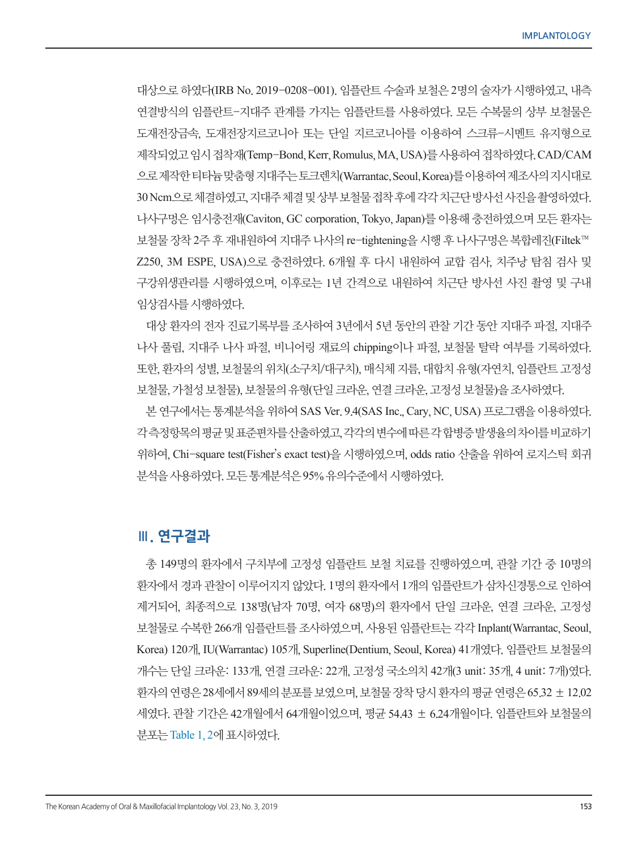대상으로 하였다(IRB No. 2019-0208-001). 임플란트 수술과 보철은 2명의 술자가 시행하였고, 내측 연결방식의 임플란트-지대주 관계를 가지는 임플란트를 사용하였다. 모든 수복물의 상부 보철물은 도재전장금속, 도재전장지르코니아 또는 단일 지르코니아를 이용하여 스크류-시멘트 유지형으로 제작되었고 임시 접착재(Temp-Bond, Kerr, Romulus, MA, USA)를 사용하여 접착하였다. CAD/CAM 으로 제작한 티타늄 맞춤형 지대주는 토크렌치(Warrantac, Seoul, Korea)를 이용하여 제조사의 지시대로 30Ncm으로 체결하였고, 지대주 체결 및 상부 보철물 접착 후에 각각 치근단 방사선 사진을 촬영하였다. 나사구멍은 임시충전재(Caviton, GC corporation, Tokyo, Japan)를 이용해 충전하였으며 모든 환자는 보철물 장착 2주 후 재내원하여 지대주 나사의 re-tightening을 시행 후 나사구멍은 복합레진(Filtek™ Z250, 3M ESPE, USA)으로 충전하였다. 6개월 후 다시 내원하여 교합 검사, 치주낭 탐침 검사 및 구강위생관리를 시행하였으며, 이후로는 1년 간격으로 내원하여 치근단 방사선 사진 촬영 및 구내 임상검사를 시행하였다.

대상 환자의 전자 진료기록부를 조사하여 3년에서 5년 동안의 관찰 기간 동안 지대주 파절, 지대주 나사 풀림, 지대주 나사 파절, 비니어링 재료의 chipping이나 파절, 보철물 탈락 여부를 기록하였다. 또한, 환자의 성별, 보철물의 위치(소구치/대구치), 매식체 지름, 대합치 유형(자연치, 임플란트 고정성 보철물, 가철성 보철물), 보철물의 유형(단일 크라운, 연결 크라운, 고정성 보철물)을 조사하였다.

본 연구에서는 통계분석을 위하여 SAS Ver. 9.4(SAS Inc., Cary, NC, USA) 프로그램을 이용하였다. 각 측정항목의 평균 및 표준편차를 산출하였고, 각각의 변수에 따른 각 합병증 발생율의 차이를 비교하기 위하여, Chi-square test(Fisher's exact test)을 시행하였으며, odds ratio 산출을 위하여 로지스틱 회귀 분석을 사용하였다. 모든 통계분석은 95% 유의수준에서 시행하였다.

## **Ⅲ. 연구결과**

총 149명의 환자에서 구치부에 고정성 임플란트 보철 치료를 진행하였으며, 관찰 기간 중 10명의 환자에서 경과 관찰이 이루어지지 않았다. 1명의 환자에서 1개의 임플란트가 삼차신경통으로 인하여 제거되어, 최종적으로 138명(남자 70명, 여자 68명)의 환자에서 단일 크라운, 연결 크라운, 고정성 보철물로 수복한 266개 임플란트를 조사하였으며, 사용된 임플란트는 각각 Inplant(Warrantac, Seoul, Korea) 120개, IU(Warrantac) 105개, Superline(Dentium, Seoul, Korea) 41개였다. 임플란트 보철물의 개수는 단일 크라운: 133개, 연결 크라운: 22개, 고정성 국소의치 42개(3 unit: 35개, 4 unit: 7개)였다. 환자의 연령은 28세에서 89세의 분포를 보였으며, 보철물 장착 당시 환자의 평균 연령은 65.32 ± 12.02 세였다. 관찰 기간은 42개월에서 64개월이었으며, 평균 54.43 ± 6.24개월이다. 임플란트와 보철물의 분포는 Table 1, 2에 표시하였다.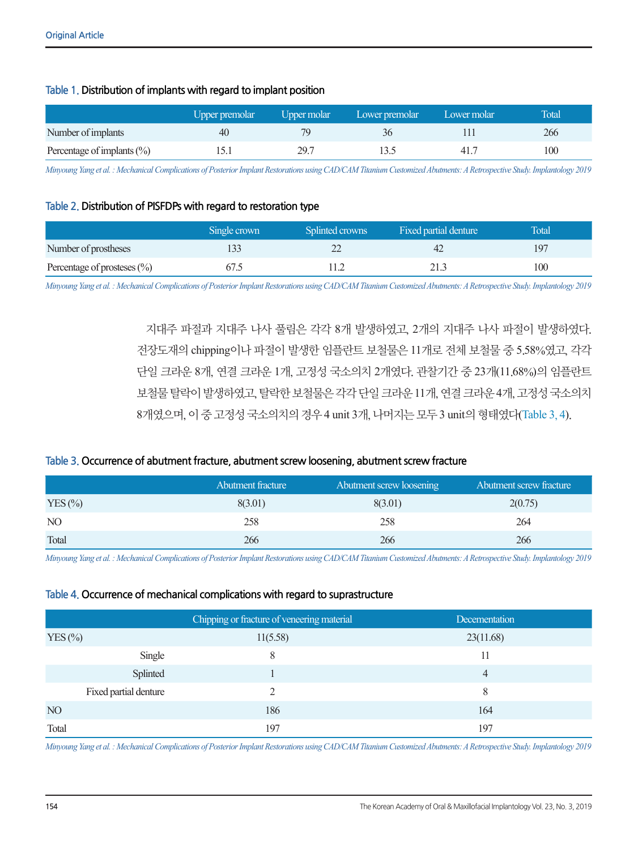## **Table 1. Distribution of implants with regard to implant position**

|                                | Upper premolar | Upper molar | Lower premolar | Lower molar | Total |
|--------------------------------|----------------|-------------|----------------|-------------|-------|
| Number of implants             | 40             | 70          |                |             | 266   |
| Percentage of implants $(\% )$ |                | 29.7        |                | 41.7        | 100   |

*Minyoung Yang et al. : Mechanical Complications of Posterior Implant Restorations using CAD/CAM Titanium Customized Abutments: A Retrospective Study. Implantology 2019*

## **Table 2. Distribution of PISFDPs with regard to restoration type**

|                               | Single crown | Splinted crowns | Fixed partial denture | <b>Total</b> |
|-------------------------------|--------------|-----------------|-----------------------|--------------|
| Number of prostheses          |              |                 |                       | 197          |
| Percentage of prosteses $(\%$ |              |                 |                       | 100          |

*Minyoung Yang et al. : Mechanical Complications of Posterior Implant Restorations using CAD/CAM Titanium Customized Abutments: A Retrospective Study. Implantology 2019*

지대주 파절과 지대주 나사 풀림은 각각 8개 발생하였고, 2개의 지대주 나사 파절이 발생하였다. 전장도재의 chipping이나 파절이 발생한 임플란트 보철물은 11개로 전체 보철물 중 5.58%였고, 각각 단일 크라운 8개, 연결 크라운 1개, 고정성 국소의치 2개였다. 관찰기간 중 23개(11.68%)의 임플란트 보철물 탈락이 발생하였고, 탈락한 보철물은 각각 단일 크라운 11개, 연결 크라운 4개, 고정성 국소의치 8개였으며, 이 중 고정성 국소의치의 경우 4 unit 3개, 나머지는 모두 3 unit의 형태였다(Table 3, 4).

## **Table 3. Occurrence of abutment fracture, abutment screw loosening, abutment screw fracture**

|                 | Abutment fracture | Abutment screw loosening | Abutment screw fracture |
|-----------------|-------------------|--------------------------|-------------------------|
| $YES$ $\%$      | 8(3.01)           | 8(3.01)                  | 2(0.75)                 |
| NO <sub>1</sub> | 258               | 258                      | 264                     |
| Total           | 266               | 266                      | 266                     |

*Minyoung Yang et al. : Mechanical Complications of Posterior Implant Restorations using CAD/CAM Titanium Customized Abutments: A Retrospective Study. Implantology 2019*

#### **Table 4. Occurrence of mechanical complications with regard to suprastructure**

|                       | Chipping or fracture of veneering material | Decementation |
|-----------------------|--------------------------------------------|---------------|
| $YES$ $%$             | 11(5.58)                                   | 23(11.68)     |
| Single                | 8                                          | 11            |
| Splinted              |                                            | 4             |
| Fixed partial denture |                                            | 8             |
| NO                    | 186                                        | 164           |
| Total                 | 197                                        | 197           |

*Minyoung Yang et al. : Mechanical Complications of Posterior Implant Restorations using CAD/CAM Titanium Customized Abutments: A Retrospective Study. Implantology 2019*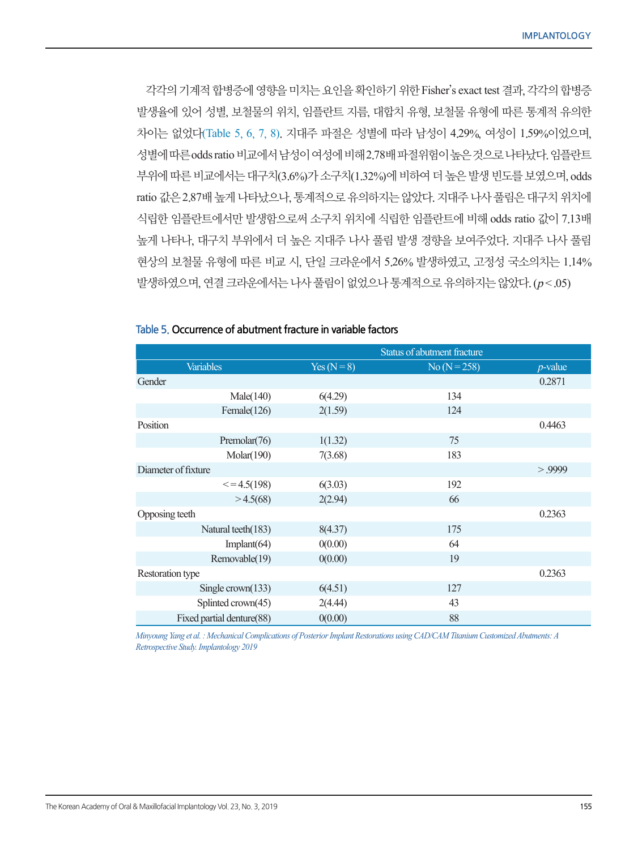각각의 기계적 합병증에 영향을 미치는 요인을 확인하기 위한 Fisher's exact test 결과, 각각의 합병증 발생율에 있어 성별, 보철물의 위치, 임플란트 지름, 대합치 유형, 보철물 유형에 따른 통계적 유의한 차이는 없었다(Table 5, 6, 7, 8). 지대주 파절은 성별에 따라 남성이 4.29%, 여성이 1.59%이었으며, 성별에 따른 oddsratio 비교에서 남성이 여성에 비해 2.78배 파절위험이 높은 것으로 나타났다. 임플란트 부위에 따른 비교에서는 대구치(3.6%)가 소구치(1.32%)에 비하여 더 높은 발생 빈도를 보였으며, odds ratio 값은 2.87배 높게 나타났으나, 통계적으로 유의하지는 않았다. 지대주 나사 풀림은 대구치 위치에 식립한 임플란트에서만 발생함으로써 소구치 위치에 식립한 임플란트에 비해 odds ratio 값이 7.13배 높게 나타나, 대구치 부위에서 더 높은 지대주 나사 풀림 발생 경향을 보여주었다. 지대주 나사 풀림 현상의 보철물 유형에 따른 비교 시, 단일 크라운에서 5.26% 발생하였고, 고정성 국소의치는 1.14% 발생하였으며, 연결 크라운에서는 나사 풀림이 없었으나 통계적으로 유의하지는 않았다.  $(p < .05)$ 

|                           | Status of abutment fracture |              |            |
|---------------------------|-----------------------------|--------------|------------|
| <b>Variables</b>          | Yes $(N=8)$                 | No $(N=258)$ | $p$ -value |
| Gender                    |                             |              | 0.2871     |
| Male(140)                 | 6(4.29)                     | 134          |            |
| Female(126)               | 2(1.59)                     | 124          |            |
| Position                  |                             |              | 0.4463     |
| Premolar <sub>(76)</sub>  | 1(1.32)                     | 75           |            |
| Molar(190)                | 7(3.68)                     | 183          |            |
| Diameter of fixture       |                             |              | > 9999     |
| $\leq$ = 4.5(198)         | 6(3.03)                     | 192          |            |
| >4.5(68)                  | 2(2.94)                     | 66           |            |
| Opposing teeth            |                             |              | 0.2363     |
| Natural teeth(183)        | 8(4.37)                     | 175          |            |
| Implant $(64)$            | 0(0.00)                     | 64           |            |
| Removable(19)             | 0(0.00)                     | 19           |            |
| Restoration type          |                             |              | 0.2363     |
| Single crown $(133)$      | 6(4.51)                     | 127          |            |
| Splinted crown(45)        | 2(4.44)                     | 43           |            |
| Fixed partial denture(88) | 0(0.00)                     | 88           |            |

#### **Table 5. Occurrence of abutment fracture in variable factors**

*Minyoung Yang et al. : Mechanical Complications of Posterior Implant Restorations using CAD/CAM Titanium Customized Abutments: A Retrospective Study. Implantology 2019*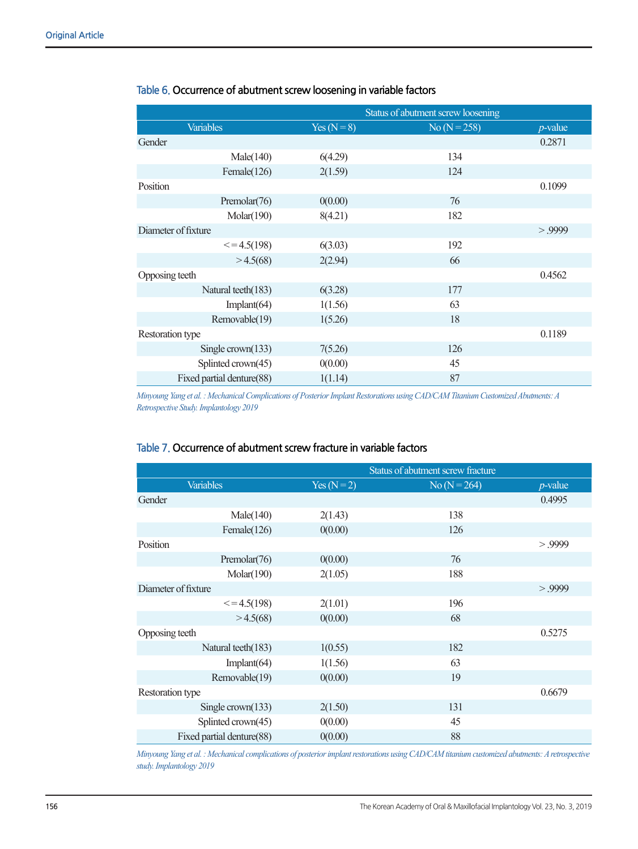|                           | Status of abutment screw loosening |                |            |  |
|---------------------------|------------------------------------|----------------|------------|--|
| <b>Variables</b>          | $Yes (N=8)$                        | $No (N = 258)$ | $p$ -value |  |
| Gender                    |                                    |                | 0.2871     |  |
| Male(140)                 | 6(4.29)                            | 134            |            |  |
| Female(126)               | 2(1.59)                            | 124            |            |  |
| Position                  |                                    |                | 0.1099     |  |
| Premolar <sub>(76)</sub>  | 0(0.00)                            | 76             |            |  |
| Molar(190)                | 8(4.21)                            | 182            |            |  |
| Diameter of fixture       |                                    |                | > 9999     |  |
| $\leq$ = 4.5(198)         | 6(3.03)                            | 192            |            |  |
| >4.5(68)                  | 2(2.94)                            | 66             |            |  |
| Opposing teeth            |                                    |                | 0.4562     |  |
| Natural teeth(183)        | 6(3.28)                            | 177            |            |  |
| Implant $(64)$            | 1(1.56)                            | 63             |            |  |
| Removable(19)             | 1(5.26)                            | 18             |            |  |
| Restoration type          |                                    |                | 0.1189     |  |
| Single $crown(133)$       | 7(5.26)                            | 126            |            |  |
| Splinted crown(45)        | 0(0.00)                            | 45             |            |  |
| Fixed partial denture(88) | 1(1.14)                            | 87             |            |  |

## **Table 6. Occurrence of abutment screw loosening in variable factors**

*Minyoung Yang et al. : Mechanical Complications of Posterior Implant Restorations using CAD/CAM Titanium Customized Abutments: A Retrospective Study. Implantology 2019*

#### **Table 7. Occurrence of abutment screw fracture in variable factors**

|                           | Status of abutment screw fracture |                |            |
|---------------------------|-----------------------------------|----------------|------------|
| <b>Variables</b>          | $Yes (N=2)$                       | $No (N = 264)$ | $p$ -value |
| Gender                    |                                   |                | 0.4995     |
| Male(140)                 | 2(1.43)                           | 138            |            |
| Female(126)               | 0(0.00)                           | 126            |            |
| Position                  |                                   |                | > 9999     |
| Premolar(76)              | 0(0.00)                           | 76             |            |
| Molar(190)                | 2(1.05)                           | 188            |            |
| Diameter of fixture       |                                   |                | > 9999     |
| $\leq$ = 4.5(198)         | 2(1.01)                           | 196            |            |
| >4.5(68)                  | 0(0.00)                           | 68             |            |
| Opposing teeth            |                                   |                | 0.5275     |
| Natural teeth(183)        | 1(0.55)                           | 182            |            |
| Implant $(64)$            | 1(1.56)                           | 63             |            |
| Removable(19)             | 0(0.00)                           | 19             |            |
| Restoration type          |                                   |                | 0.6679     |
| Single crown $(133)$      | 2(1.50)                           | 131            |            |
| Splinted crown(45)        | 0(0.00)                           | 45             |            |
| Fixed partial denture(88) | 0(0.00)                           | 88             |            |

*Minyoung Yang et al. : Mechanical complications of posterior implant restorations using CAD/CAM titanium customized abutments: A retrospective study. Implantology 2019*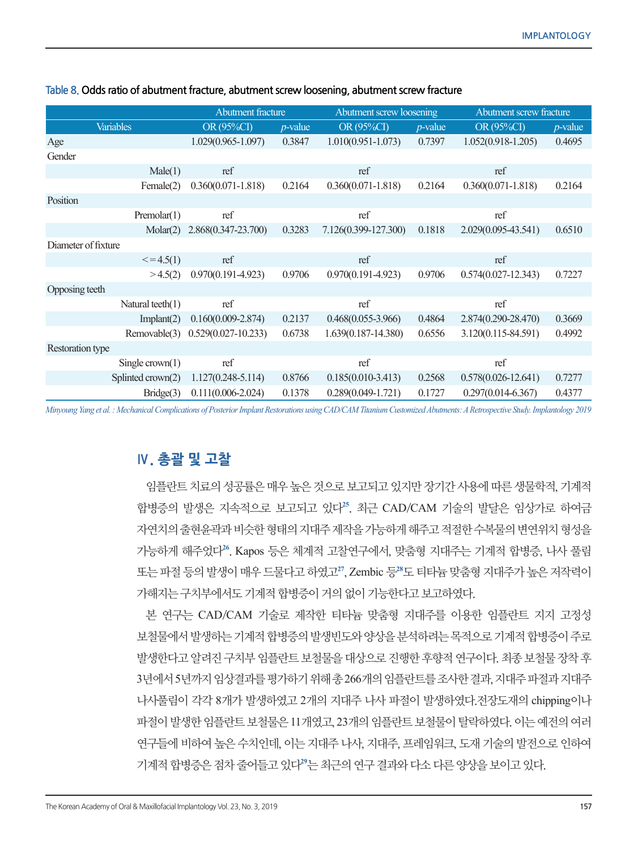|                            | <b>Abutment fracture</b> |            | Abutment screw loosening |            | Abutment screw fracture |            |
|----------------------------|--------------------------|------------|--------------------------|------------|-------------------------|------------|
| <b>Variables</b>           | OR (95%CI)               | $p$ -value | OR (95%CI)               | $p$ -value | OR (95%CI)              | $p$ -value |
| Age                        | $1.029(0.965 - 1.097)$   | 0.3847     | $1.010(0.951 - 1.073)$   | 0.7397     | $1.052(0.918 - 1.205)$  | 0.4695     |
| Gender                     |                          |            |                          |            |                         |            |
| Male(1)                    | ref                      |            | ref                      |            | ref                     |            |
| Female(2)                  | $0.360(0.071 - 1.818)$   | 0.2164     | $0.360(0.071 - 1.818)$   | 0.2164     | $0.360(0.071 - 1.818)$  | 0.2164     |
| Position                   |                          |            |                          |            |                         |            |
| Premolar(1)                | ref                      |            | ref                      |            | ref                     |            |
| Molar(2)                   | 2.868(0.347-23.700)      | 0.3283     | 7.126(0.399-127.300)     | 0.1818     | 2.029(0.095-43.541)     | 0.6510     |
| Diameter of fixture        |                          |            |                          |            |                         |            |
| $\leq$ = 4.5(1)            | ref                      |            | ref                      |            | ref                     |            |
| >4.5(2)                    | $0.970(0.191 - 4.923)$   | 0.9706     | $0.970(0.191 - 4.923)$   | 0.9706     | $0.574(0.027 - 12.343)$ | 0.7227     |
| Opposing teeth             |                          |            |                          |            |                         |            |
| Natural teeth $(1)$        | ref                      |            | ref                      |            | ref                     |            |
| Implant(2)                 | $0.160(0.009 - 2.874)$   | 0.2137     | $0.468(0.055-3.966)$     | 0.4864     | 2.874(0.290-28.470)     | 0.3669     |
| Removable(3)               | $0.529(0.027 - 10.233)$  | 0.6738     | 1.639(0.187-14.380)      | 0.6556     | 3.120(0.115-84.591)     | 0.4992     |
| Restoration type           |                          |            |                          |            |                         |            |
| Single $crown(1)$          | ref                      |            | ref                      |            | ref                     |            |
| Splinted $\text{crown}(2)$ | $1.127(0.248 - 5.114)$   | 0.8766     | $0.185(0.010-3.413)$     | 0.2568     | $0.578(0.026 - 12.641)$ | 0.7277     |
| Bridge(3)                  | $0.111(0.006 - 2.024)$   | 0.1378     | $0.289(0.049 - 1.721)$   | 0.1727     | $0.297(0.014-6.367)$    | 0.4377     |

#### **Table 8. Odds ratio of abutment fracture, abutment screw loosening, abutment screw fracture**

*Minyoung Yang et al. : Mechanical Complications of Posterior Implant Restorations using CAD/CAM Titanium Customized Abutments: A Retrospective Study. Implantology 2019*

# **Ⅳ. 총괄 및 고찰**

임플란트 치료의 성공률은 매우 높은 것으로 보고되고 있지만 장기간 사용에 따른 생물학적, 기계적 합병증의 발생은 지속적으로 보고되고 있다**<sup>25</sup>**. 최근 CAD/CAM 기술의 발달은 임상가로 하여금 자연치의 출현윤곽과 비슷한 형태의 지대주 제작을 가능하게 해주고 적절한 수복물의 변연위치 형성을 가능하게 해주었다**<sup>26</sup>**. Kapos 등은 체계적 고찰연구에서, 맞춤형 지대주는 기계적 합병증, 나사 풀림 또는 파절 등의 발생이 매우 드물다고 하였고**<sup>27</sup>**, Zembic 등**<sup>28</sup>**도 티타늄 맞춤형 지대주가 높은 저작력이 가해지는 구치부에서도 기계적 합병증이 거의 없이 기능한다고 보고하였다.

본 연구는 CAD/CAM 기술로 제작한 티타늄 맞춤형 지대주를 이용한 임플란트 지지 고정성 보철물에서 발생하는 기계적 합병증의 발생빈도와 양상을 분석하려는 목적으로 기계적 합병증이 주로 발생한다고 알려진 구치부 임플란트 보철물을 대상으로 진행한 후향적 연구이다. 최종 보철물 장착 후 3년에서 5년까지 임상결과를 평가하기 위해 총 266개의 임플란트를 조사한 결과, 지대주 파절과 지대주 나사풀림이 각각 8개가 발생하였고 2개의 지대주 나사 파절이 발생하였다.전장도재의 chipping이나 파절이 발생한 임플란트 보철물은 11개였고, 23개의 임플란트 보철물이 탈락하였다. 이는 예전의 여러 연구들에 비하여 높은 수치인데, 이는 지대주 나사, 지대주, 프레임워크, 도재 기술의 발전으로 인하여 기계적 합병증은 점차 줄어들고 있다**<sup>29</sup>**는 최근의 연구 결과와 다소 다른 양상을 보이고 있다.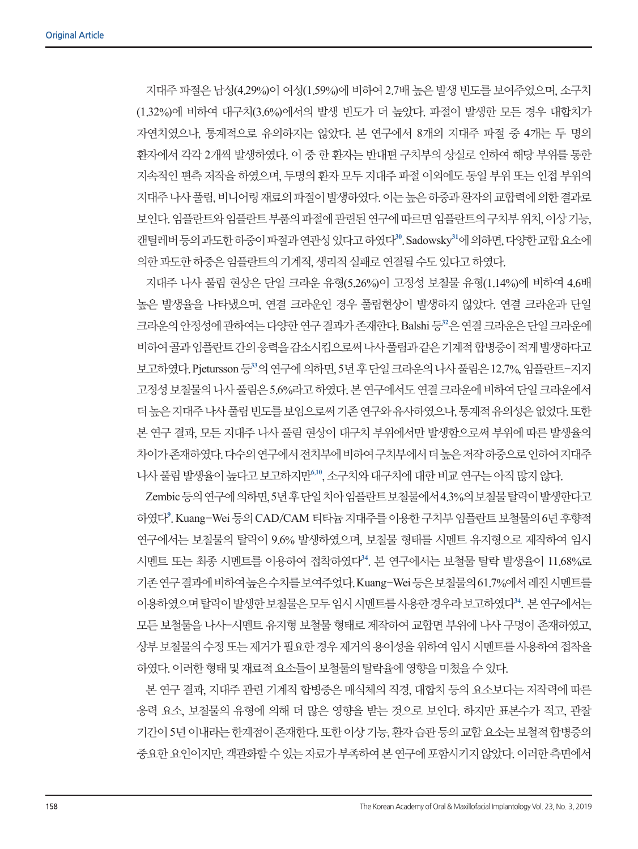지대주 파절은 남성(4.29%)이 여성(1.59%)에 비하여 2.7배 높은 발생 빈도를 보여주었으며, 소구치 (1.32%)에 비하여 대구치(3.6%)에서의 발생 빈도가 더 높았다. 파절이 발생한 모든 경우 대합치가 자연치였으나, 통계적으로 유의하지는 않았다. 본 연구에서 8개의 지대주 파절 중 4개는 두 명의 환자에서 각각 2개씩 발생하였다. 이 중 한 환자는 반대편 구치부의 상실로 인하여 해당 부위를 통한 지속적인 편측 저작을 하였으며, 두명의 환자 모두 지대주 파절 이외에도 동일 부위 또는 인접 부위의 지대주 나사 풀림, 비니어링 재료의 파절이 발생하였다. 이는 높은 하중과 환자의 교합력에 의한 결과로 보인다. 임플란트와 임플란트 부품의 파절에 관련된 연구에 따르면 임플란트의 구치부 위치, 이상 기능, 캔틸레버 등의 과도한 하중이 파절과 연관성 있다고 하였다**<sup>30</sup>**. Sadowsky**<sup>31</sup>**에 의하면, 다양한 교합 요소에 의한 과도한 하중은 임플란트의 기계적, 생리적 실패로 연결될 수도 있다고 하였다.

지대주 나사 풀림 현상은 단일 크라운 유형(5.26%)이 고정성 보철물 유형(1.14%)에 비하여 4.6배 높은 발생율을 나타냈으며, 연결 크라운인 경우 풀림현상이 발생하지 않았다. 연결 크라운과 단일 크라운의 안정성에 관하여는 다양한 연구 결과가 존재한다. Balshi 등**<sup>32</sup>**은 연결 크라운은 단일 크라운에 비하여 골과 임플란트 간의 응력을 감소시킴으로써 나사 풀림과 같은 기계적 합병증이 적게 발생하다고 보고하였다. Pjetursson 등**<sup>33</sup>**의 연구에 의하면, 5년 후 단일 크라운의 나사 풀림은 12.7%, 임플란트-지지 고정성 보철물의 나사 풀림은 5.6%라고 하였다. 본 연구에서도 연결 크라운에 비하여 단일 크라운에서 더 높은 지대주 나사 풀림 빈도를 보임으로써 기존 연구와 유사하였으나, 통계적 유의성은 없었다. 또한 본 연구 결과, 모든 지대주 나사 풀림 현상이 대구치 부위에서만 발생함으로써 부위에 따른 발생율의 차이가 존재하였다. 다수의 연구에서 전치부에 비하여 구치부에서 더 높은 저작 하중으로 인하여 지대주 나사 풀림 발생율이 높다고 보고하지만**<sup>6</sup>,<sup>10</sup>**, 소구치와 대구치에 대한 비교 연구는 아직 많지 않다.

Zembic 등의 연구에 의하면, 5년 후 단일 치아 임플란트 보철물에서 4.3%의 보철물 탈락이 발생한다고 하였다**<sup>9</sup>** . Kuang-Wei 등의 CAD/CAM 티타늄 지대주를 이용한 구치부 임플란트 보철물의 6년 후향적 연구에서는 보철물의 탈락이 9.6% 발생하였으며, 보철물 형태를 시멘트 유지형으로 제작하여 임시 시멘트 또는 최종 시멘트를 이용하여 접착하였다**<sup>34</sup>**. 본 연구에서는 보철물 탈락 발생율이 11.68%로 기존 연구 결과에 비하여 높은 수치를 보여주었다. Kuang-Wei 등은 보철물의 61.7%에서 레진 시멘트를 이용하였으며 탈락이 발생한 보철물은 모두 임시 시멘트를 사용한 경우라 보고하였다**<sup>34</sup>**. 본 연구에서는 모든 보철물을 나사-시멘트 유지형 보철물 형태로 제작하여 교합면 부위에 나사 구멍이 존재하였고, 상부 보철물의 수정 또는 제거가 필요한 경우 제거의 용이성을 위하여 임시 시멘트를 사용하여 접착을 하였다. 이러한 형태 및 재료적 요소들이 보철물의 탈락율에 영향을 미쳤을 수 있다.

본 연구 결과, 지대주 관련 기계적 합병증은 매식체의 직경, 대합치 등의 요소보다는 저작력에 따른 응력 요소, 보철물의 유형에 의해 더 많은 영향을 받는 것으로 보인다. 하지만 표본수가 적고, 관찰 기간이 5년 이내라는 한계점이 존재한다. 또한 이상 기능, 환자 습관 등의 교합 요소는 보철적 합병증의 중요한 요인이지만, 객관화할 수 있는 자료가 부족하여 본 연구에 포함시키지 않았다. 이러한 측면에서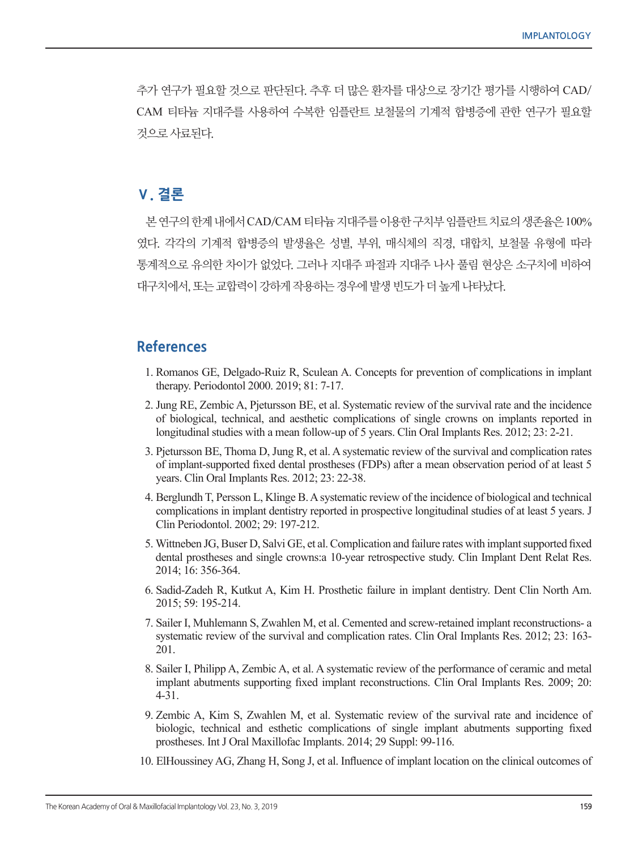추가 연구가 필요할 것으로 판단된다. 추후 더 많은 환자를 대상으로 장기간 평가를 시행하여 CAD/ CAM 티타늄 지대주를 사용하여 수복한 임플란트 보철물의 기계적 합병증에 관한 연구가 필요할 것으로 사료된다.

# **Ⅴ. 결론**

본 연구의 한계 내에서 CAD/CAM 티타늄 지대주를 이용한 구치부 임플란트 치료의 생존율은 100% 였다. 각각의 기계적 합병증의 발생율은 성별, 부위, 매식체의 직경, 대합치, 보철물 유형에 따라 통계적으로 유의한 차이가 없었다. 그러나 지대주 파절과 지대주 나사 풀림 현상은 소구치에 비하여 대구치에서, 또는 교합력이 강하게 작용하는 경우에 발생 빈도가 더 높게 나타났다.

## **References**

- 1. Romanos GE, Delgado-Ruiz R, Sculean A. Concepts for prevention of complications in implant therapy. Periodontol 2000. 2019; 81: 7-17.
- 2. Jung RE, Zembic A, Pjetursson BE, et al. Systematic review of the survival rate and the incidence of biological, technical, and aesthetic complications of single crowns on implants reported in longitudinal studies with a mean follow-up of 5 years. Clin Oral Implants Res. 2012; 23: 2-21.
- 3. Pjetursson BE, Thoma D, Jung R, et al. A systematic review of the survival and complication rates of implant-supported fixed dental prostheses (FDPs) after a mean observation period of at least 5 years. Clin Oral Implants Res. 2012; 23: 22-38.
- 4. Berglundh T, Persson L, Klinge B. Asystematic review of the incidence of biological and technical complications in implant dentistry reported in prospective longitudinal studies of at least 5 years. J Clin Periodontol. 2002; 29: 197-212.
- 5. Wittneben JG, Buser D, Salvi GE, et al. Complication and failure rates with implantsupported fixed dental prostheses and single crowns:a 10-year retrospective study. Clin Implant Dent Relat Res. 2014; 16: 356-364.
- 6. Sadid-Zadeh R, Kutkut A, Kim H. Prosthetic failure in implant dentistry. Dent Clin North Am. 2015; 59: 195-214.
- 7. Sailer I, Muhlemann S, Zwahlen M, et al. Cemented and screw-retained implant reconstructions- a systematic review of the survival and complication rates. Clin Oral Implants Res. 2012; 23: 163-201.
- 8. Sailer I, Philipp A, Zembic A, et al. A systematic review of the performance of ceramic and metal implant abutments supporting fixed implant reconstructions. Clin Oral Implants Res. 2009; 20: 4-31.
- 9. Zembic A, Kim S, Zwahlen M, et al. Systematic review of the survival rate and incidence of biologic, technical and esthetic complications of single implant abutments supporting fixed prostheses. Int J Oral Maxillofac Implants. 2014; 29 Suppl: 99-116.
- 10. ElHoussiney AG, Zhang H, Song J, et al. Influence of implant location on the clinical outcomes of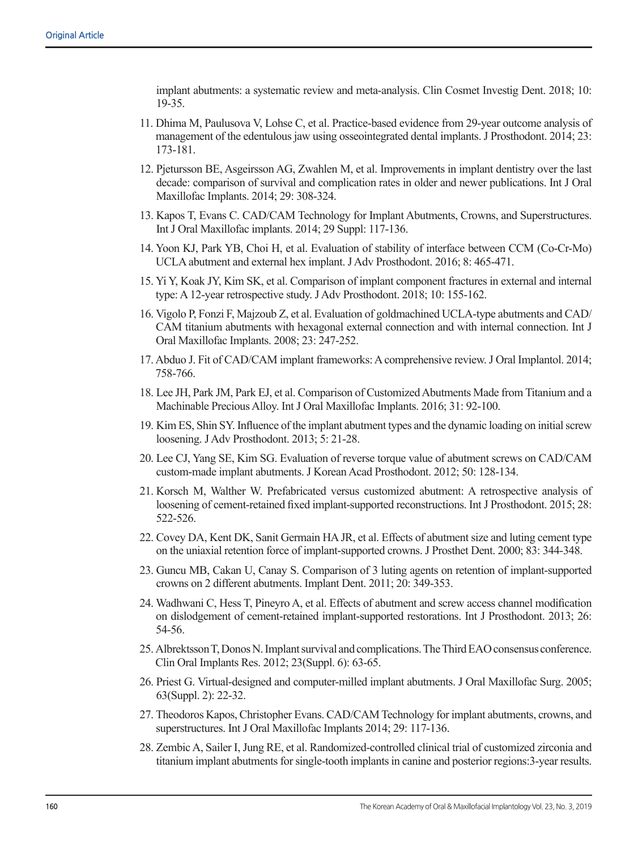implant abutments: a systematic review and meta-analysis. Clin Cosmet Investig Dent. 2018; 10: 19-35.

- 11. Dhima M, Paulusova V, Lohse C, et al. Practice-based evidence from 29-year outcome analysis of management of the edentulous jaw using osseointegrated dental implants. J Prosthodont. 2014; 23: 173-181.
- 12. Pjetursson BE, Asgeirsson AG, Zwahlen M, et al. Improvements in implant dentistry over the last decade: comparison of survival and complication rates in older and newer publications. Int J Oral Maxillofac Implants. 2014; 29: 308-324.
- 13. Kapos T, Evans C. CAD/CAM Technology for Implant Abutments, Crowns, and Superstructures. Int J Oral Maxillofac implants. 2014; 29 Suppl: 117-136.
- 14. Yoon KJ, Park YB, Choi H, et al. Evaluation of stability of interface between CCM (Co-Cr-Mo) UCLA abutment and external hex implant. J Adv Prosthodont. 2016; 8: 465-471.
- 15. Yi Y, Koak JY, Kim SK, et al. Comparison of implant component fractures in external and internal type: A 12-year retrospective study. J Adv Prosthodont. 2018; 10: 155-162.
- 16. Vigolo P, Fonzi F, Majzoub Z, et al. Evaluation of goldmachined UCLA-type abutments and CAD/ CAM titanium abutments with hexagonal external connection and with internal connection. Int J Oral Maxillofac Implants. 2008; 23: 247-252.
- 17. Abduo J. Fit of CAD/CAM implant frameworks: Acomprehensive review. J Oral Implantol. 2014; 758-766.
- 18. Lee JH, Park JM, Park EJ, et al. Comparison of Customized Abutments Made from Titanium and a Machinable Precious Alloy. Int J Oral Maxillofac Implants. 2016; 31: 92-100.
- 19. Kim ES, Shin SY. Influence of the implant abutment types and the dynamic loading on initialscrew loosening. J Adv Prosthodont. 2013; 5: 21-28.
- 20. Lee CJ, Yang SE, Kim SG. Evaluation of reverse torque value of abutment screws on CAD/CAM custom-made implant abutments. J Korean Acad Prosthodont. 2012; 50: 128-134.
- 21. Korsch M, Walther W. Prefabricated versus customized abutment: A retrospective analysis of loosening of cement-retained fixed implant-supported reconstructions. Int J Prosthodont. 2015; 28: 522-526.
- 22. Covey DA, Kent DK, Sanit Germain HAJR, et al. Effects of abutmentsize and luting cement type on the uniaxial retention force of implant-supported crowns. J Prosthet Dent. 2000; 83: 344-348.
- 23. Guncu MB, Cakan U, Canay S. Comparison of 3 luting agents on retention of implant-supported crowns on 2 different abutments. Implant Dent. 2011; 20: 349-353.
- 24. Wadhwani C, Hess T, Pineyro A, et al. Effects of abutment and screw access channel modification on dislodgement of cement-retained implant-supported restorations. Int J Prosthodont. 2013; 26: 54-56.
- 25. AlbrektssonT, DonosN. Implantsurvival andcomplications. TheThirdEAOconsensus conference. Clin Oral Implants Res. 2012; 23(Suppl. 6): 63-65.
- 26. Priest G. Virtual-designed and computer-milled implant abutments. J Oral Maxillofac Surg. 2005; 63(Suppl. 2): 22-32.
- 27. Theodoros Kapos, Christopher Evans. CAD/CAM Technology for implant abutments, crowns, and superstructures. Int J Oral Maxillofac Implants 2014; 29: 117-136.
- 28. ZembicA, Sailer I, Jung RE, et al. Randomized-controlled clinical trial of customized zirconia and titanium implant abutments for single-tooth implants in canine and posterior regions:3-year results.